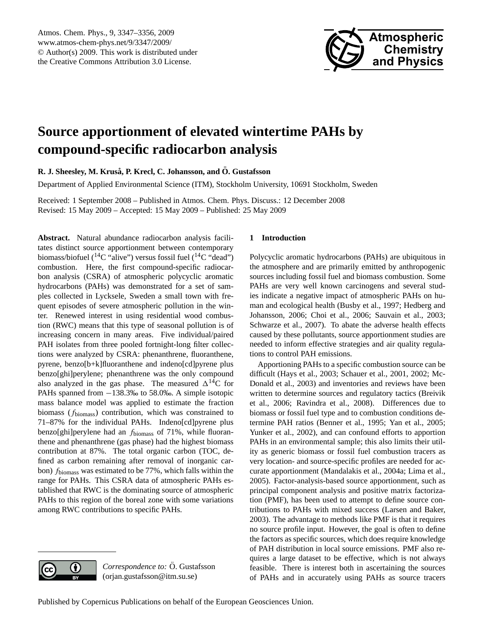

# <span id="page-0-0"></span>**Source apportionment of elevated wintertime PAHs by compound-specific radiocarbon analysis**

**R. J. Sheesley, M. Krusa, P. Krecl, C. Johansson, and ˚ O. Gustafsson ¨**

Department of Applied Environmental Science (ITM), Stockholm University, 10691 Stockholm, Sweden

Received: 1 September 2008 – Published in Atmos. Chem. Phys. Discuss.: 12 December 2008 Revised: 15 May 2009 – Accepted: 15 May 2009 – Published: 25 May 2009

**Abstract.** Natural abundance radiocarbon analysis facilitates distinct source apportionment between contemporary biomass/biofuel ( ${}^{14}C$  "alive") versus fossil fuel ( ${}^{14}C$  "dead") combustion. Here, the first compound-specific radiocarbon analysis (CSRA) of atmospheric polycyclic aromatic hydrocarbons (PAHs) was demonstrated for a set of samples collected in Lycksele, Sweden a small town with frequent episodes of severe atmospheric pollution in the winter. Renewed interest in using residential wood combustion (RWC) means that this type of seasonal pollution is of increasing concern in many areas. Five individual/paired PAH isolates from three pooled fortnight-long filter collections were analyzed by CSRA: phenanthrene, fluoranthene, pyrene, benzo[b+k]fluoranthene and indeno[cd]pyrene plus benzo[ghi]perylene; phenanthrene was the only compound also analyzed in the gas phase. The measured  $\Delta^{14}C$  for PAHs spanned from −138.3‰ to 58.0‰. A simple isotopic mass balance model was applied to estimate the fraction biomass (fbiomass) contribution, which was constrained to 71–87% for the individual PAHs. Indeno[cd]pyrene plus benzo[ghi]perylene had an  $f_{\text{biomass}}$  of 71%, while fluoranthene and phenanthrene (gas phase) had the highest biomass contribution at 87%. The total organic carbon (TOC, defined as carbon remaining after removal of inorganic carbon)  $f_{\text{biomass}}$  was estimated to be 77%, which falls within the range for PAHs. This CSRA data of atmospheric PAHs established that RWC is the dominating source of atmospheric PAHs to this region of the boreal zone with some variations among RWC contributions to specific PAHs.

### **1 Introduction**

Polycyclic aromatic hydrocarbons (PAHs) are ubiquitous in the atmosphere and are primarily emitted by anthropogenic sources including fossil fuel and biomass combustion. Some PAHs are very well known carcinogens and several studies indicate a negative impact of atmospheric PAHs on human and ecological health (Busby et al., 1997; Hedberg and Johansson, 2006; Choi et al., 2006; Sauvain et al., 2003; Schwarze et al., 2007). To abate the adverse health effects caused by these pollutants, source apportionment studies are needed to inform effective strategies and air quality regulations to control PAH emissions.

Apportioning PAHs to a specific combustion source can be difficult (Hays et al., 2003; Schauer et al., 2001, 2002; Mc-Donald et al., 2003) and inventories and reviews have been written to determine sources and regulatory tactics (Breivik et al., 2006; Ravindra et al., 2008). Differences due to biomass or fossil fuel type and to combustion conditions determine PAH ratios (Benner et al., 1995; Yan et al., 2005; Yunker et al., 2002), and can confound efforts to apportion PAHs in an environmental sample; this also limits their utility as generic biomass or fossil fuel combustion tracers as very location- and source-specific profiles are needed for accurate apportionment (Mandalakis et al., 2004a; Lima et al., 2005). Factor-analysis-based source apportionment, such as principal component analysis and positive matrix factorization (PMF), has been used to attempt to define source contributions to PAHs with mixed success (Larsen and Baker, 2003). The advantage to methods like PMF is that it requires no source profile input. However, the goal is often to define the factors as specific sources, which does require knowledge of PAH distribution in local source emissions. PMF also requires a large dataset to be effective, which is not always feasible. There is interest both in ascertaining the sources of PAHs and in accurately using PAHs as source tracers

*Correspondence to:*  $\ddot{O}$ *. Gustafsson* (orjan.gustafsson@itm.su.se)

 $\left( \cdot \right)$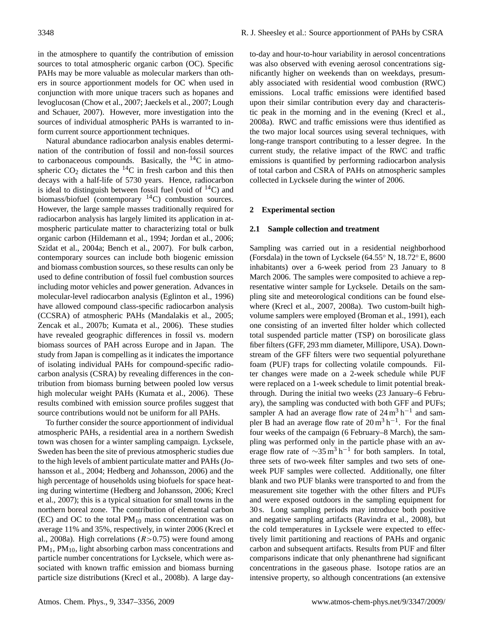in the atmosphere to quantify the contribution of emission sources to total atmospheric organic carbon (OC). Specific PAHs may be more valuable as molecular markers than others in source apportionment models for OC when used in conjunction with more unique tracers such as hopanes and levoglucosan (Chow et al., 2007; Jaeckels et al., 2007; Lough and Schauer, 2007). However, more investigation into the sources of individual atmospheric PAHs is warranted to inform current source apportionment techniques.

Natural abundance radiocarbon analysis enables determination of the contribution of fossil and non-fossil sources to carbonaceous compounds. Basically, the  ${}^{14}C$  in atmospheric  $CO_2$  dictates the <sup>14</sup>C in fresh carbon and this then decays with a half-life of 5730 years. Hence, radiocarbon is ideal to distinguish between fossil fuel (void of  $^{14}$ C) and biomass/biofuel (contemporary <sup>14</sup>C) combustion sources. However, the large sample masses traditionally required for radiocarbon analysis has largely limited its application in atmospheric particulate matter to characterizing total or bulk organic carbon (Hildemann et al., 1994; Jordan et al., 2006; Szidat et al., 2004a; Bench et al., 2007). For bulk carbon, contemporary sources can include both biogenic emission and biomass combustion sources, so these results can only be used to define contribution of fossil fuel combustion sources including motor vehicles and power generation. Advances in molecular-level radiocarbon analysis (Eglinton et al., 1996) have allowed compound class-specific radiocarbon analysis (CCSRA) of atmospheric PAHs (Mandalakis et al., 2005; Zencak et al., 2007b; Kumata et al., 2006). These studies have revealed geographic differences in fossil vs. modern biomass sources of PAH across Europe and in Japan. The study from Japan is compelling as it indicates the importance of isolating individual PAHs for compound-specific radiocarbon analysis (CSRA) by revealing differences in the contribution from biomass burning between pooled low versus high molecular weight PAHs (Kumata et al., 2006). These results combined with emission source profiles suggest that source contributions would not be uniform for all PAHs.

To further consider the source apportionment of individual atmospheric PAHs, a residential area in a northern Swedish town was chosen for a winter sampling campaign. Lycksele, Sweden has been the site of previous atmospheric studies due to the high levels of ambient particulate matter and PAHs (Johansson et al., 2004; Hedberg and Johansson, 2006) and the high percentage of households using biofuels for space heating during wintertime (Hedberg and Johansson, 2006; Krecl et al., 2007); this is a typical situation for small towns in the northern boreal zone. The contribution of elemental carbon (EC) and OC to the total  $PM_{10}$  mass concentration was on average 11% and 35%, respectively, in winter 2006 (Krecl et al., 2008a). High correlations  $(R>0.75)$  were found among PM<sub>1</sub>, PM<sub>10</sub>, light absorbing carbon mass concentrations and particle number concentrations for Lycksele, which were associated with known traffic emission and biomass burning particle size distributions (Krecl et al., 2008b). A large dayto-day and hour-to-hour variability in aerosol concentrations was also observed with evening aerosol concentrations significantly higher on weekends than on weekdays, presumably associated with residential wood combustion (RWC) emissions. Local traffic emissions were identified based upon their similar contribution every day and characteristic peak in the morning and in the evening (Krecl et al., 2008a). RWC and traffic emissions were thus identified as the two major local sources using several techniques, with long-range transport contributing to a lesser degree. In the current study, the relative impact of the RWC and traffic emissions is quantified by performing radiocarbon analysis of total carbon and CSRA of PAHs on atmospheric samples collected in Lycksele during the winter of 2006.

#### **2 Experimental section**

#### **2.1 Sample collection and treatment**

Sampling was carried out in a residential neighborhood (Forsdala) in the town of Lycksele (64.55◦ N, 18.72◦ E, 8600 inhabitants) over a 6-week period from 23 January to 8 March 2006. The samples were composited to achieve a representative winter sample for Lycksele. Details on the sampling site and meteorological conditions can be found elsewhere (Krecl et al., 2007, 2008a). Two custom-built highvolume samplers were employed (Broman et al., 1991), each one consisting of an inverted filter holder which collected total suspended particle matter (TSP) on borosilicate glass fiber filters (GFF, 293 mm diameter, Millipore, USA). Downstream of the GFF filters were two sequential polyurethane foam (PUF) traps for collecting volatile compounds. Filter changes were made on a 2-week schedule while PUF were replaced on a 1-week schedule to limit potential breakthrough. During the initial two weeks (23 January–6 February), the sampling was conducted with both GFF and PUFs; sampler A had an average flow rate of  $24 \text{ m}^3 \text{ h}^{-1}$  and sampler B had an average flow rate of  $20 \text{ m}^3 \text{ h}^{-1}$ . For the final four weeks of the campaign (6 February–8 March), the sampling was performed only in the particle phase with an average flow rate of  $\sim$ 35 m<sup>3</sup> h<sup>-1</sup> for both samplers. In total, three sets of two-week filter samples and two sets of oneweek PUF samples were collected. Additionally, one filter blank and two PUF blanks were transported to and from the measurement site together with the other filters and PUFs and were exposed outdoors in the sampling equipment for 30 s. Long sampling periods may introduce both positive and negative sampling artifacts (Ravindra et al., 2008), but the cold temperatures in Lycksele were expected to effectively limit partitioning and reactions of PAHs and organic carbon and subsequent artifacts. Results from PUF and filter comparisons indicate that only phenanthrene had significant concentrations in the gaseous phase. Isotope ratios are an intensive property, so although concentrations (an extensive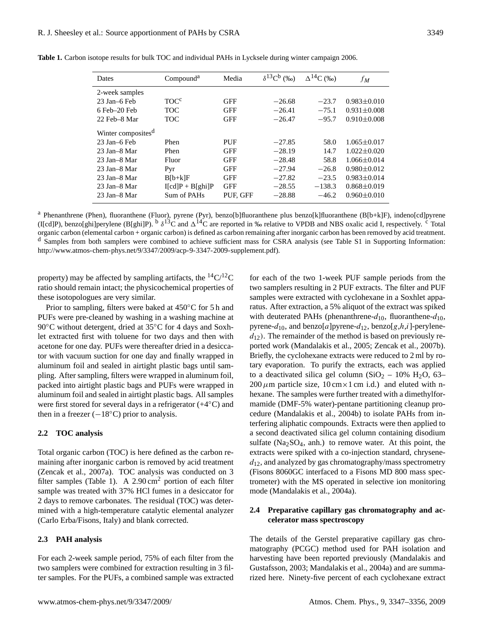| Dates                          | Compound <sup>a</sup> | Media      | $\delta^{13}C^b$ (‰) | $\Delta^{14}C (9)$ | $f_M$             |
|--------------------------------|-----------------------|------------|----------------------|--------------------|-------------------|
| 2-week samples                 |                       |            |                      |                    |                   |
| 23 Jan–6 Feb                   | TOC <sup>c</sup>      | GFF        | $-26.68$             | $-23.7$            | $0.983 \pm 0.010$ |
| $6$ Feb $-20$ Feb              | <b>TOC</b>            | <b>GFF</b> | $-26.41$             | $-75.1$            | $0.931 \pm 0.008$ |
| 22 Feb-8 Mar                   | <b>TOC</b>            | <b>GFF</b> | $-26.47$             | $-95.7$            | $0.910 \pm 0.008$ |
| Winter composites <sup>d</sup> |                       |            |                      |                    |                   |
| 23 Jan–6 Feb                   | Phen                  | PUF        | $-27.85$             | 58.0               | $1.065 \pm 0.017$ |
| 23 Jan–8 Mar                   | Phen                  | <b>GFF</b> | $-28.19$             | 14.7               | $1.022 \pm 0.020$ |
| 23 Jan-8 Mar                   | Fluor                 | GFF        | $-28.48$             | 58.8               | $1.066 \pm 0.014$ |
| 23 Jan-8 Mar                   | Pyr                   | <b>GFF</b> | $-27.94$             | $-26.8$            | $0.980 \pm 0.012$ |
| $23$ Jan $-8$ Mar              | $B[b+k]F$             | <b>GFF</b> | $-27.82$             | $-23.5$            | $0.983 \pm 0.014$ |
| 23 Jan-8 Mar                   | $I[cd]P + B[ghi]P$    | <b>GFF</b> | $-28.55$             | $-138.3$           | $0.868 \pm 0.019$ |
| 23 Jan-8 Mar                   | Sum of PAHs           | PUF, GFF   | $-28.88$             | $-46.2$            | $0.960 \pm 0.010$ |

**Table 1.** Carbon isotope results for bulk TOC and individual PAHs in Lycksele during winter campaign 2006.

<sup>a</sup> Phenanthrene (Phen), fluoranthene (Fluor), pyrene (Pyr), benzo[b]fluoranthene plus benzo[k]fluoranthene (B[b+k]F), indeno[cd]pyrene (I[cd]P), benzo[ghi]perylene (B[ghi]P).  $\frac{b}{\delta}$   $\frac{d}{d}$ C and  $\Delta^{14}$ C are reported in ‰ relative to VPDB and NBS oxalic acid I, respectively. <sup>c</sup> Total organic carbon (elemental carbon + organic carbon) is defined as carbon remaining after inorganic carbon has been removed by acid treatment. <sup>d</sup> Samples from both samplers were combined to achieve sufficient mass for CSRA analysis (see Table S1 in Supporting Information: [http://www.atmos-chem-phys.net/9/3347/2009/acp-9-3347-2009-supplement.pdf\)](http://www.atmos-chem-phys.net/9/3347/2009/acp-9-3347-2009-supplement.pdf).

property) may be affected by sampling artifacts, the  ${}^{14}C/{}^{12}C$ ratio should remain intact; the physicochemical properties of these isotopologues are very similar.

Prior to sampling, filters were baked at 450◦C for 5 h and PUFs were pre-cleaned by washing in a washing machine at 90 °C without detergent, dried at 35 °C for 4 days and Soxhlet extracted first with toluene for two days and then with acetone for one day. PUFs were thereafter dried in a desiccator with vacuum suction for one day and finally wrapped in aluminum foil and sealed in airtight plastic bags until sampling. After sampling, filters were wrapped in aluminum foil, packed into airtight plastic bags and PUFs were wrapped in aluminum foil and sealed in airtight plastic bags. All samples were first stored for several days in a refrigerator (+4<sup>°</sup>C) and then in a freezer  $(-18°C)$  prior to analysis.

### **2.2 TOC analysis**

Total organic carbon (TOC) is here defined as the carbon remaining after inorganic carbon is removed by acid treatment (Zencak et al., 2007a). TOC analysis was conducted on 3 filter samples (Table 1). A  $2.90 \text{ cm}^2$  portion of each filter sample was treated with 37% HCl fumes in a desiccator for 2 days to remove carbonates. The residual (TOC) was determined with a high-temperature catalytic elemental analyzer (Carlo Erba/Fisons, Italy) and blank corrected.

#### **2.3 PAH analysis**

For each 2-week sample period, 75% of each filter from the two samplers were combined for extraction resulting in 3 filter samples. For the PUFs, a combined sample was extracted for each of the two 1-week PUF sample periods from the two samplers resulting in 2 PUF extracts. The filter and PUF samples were extracted with cyclohexane in a Soxhlet apparatus. After extraction, a 5% aliquot of the extract was spiked with deuterated PAHs (phenanthrene- $d_{10}$ , fluoranthene- $d_{10}$ , pyrene- $d_{10}$ , and benzo[a]pyrene- $d_{12}$ , benzo[g,h,i]-perylene $d_{12}$ ). The remainder of the method is based on previously reported work (Mandalakis et al., 2005; Zencak et al., 2007b). Briefly, the cyclohexane extracts were reduced to 2 ml by rotary evaporation. To purify the extracts, each was applied to a deactivated silica gel column (SiO<sub>2</sub> – 10% H<sub>2</sub>O, 63–  $200 \mu m$  particle size,  $10 \text{ cm} \times 1 \text{ cm}$  i.d.) and eluted with nhexane. The samples were further treated with a dimethylformamide (DMF-5% water)-pentane partitioning cleanup procedure (Mandalakis et al., 2004b) to isolate PAHs from interfering aliphatic compounds. Extracts were then applied to a second deactivated silica gel column containing disodium sulfate  $(Na<sub>2</sub>SO<sub>4</sub>, anh.)$  to remove water. At this point, the extracts were spiked with a co-injection standard, chrysene $d_{12}$ , and analyzed by gas chromatography/mass spectrometry (Fisons 8060GC interfaced to a Fisons MD 800 mass spectrometer) with the MS operated in selective ion monitoring mode (Mandalakis et al., 2004a).

# **2.4 Preparative capillary gas chromatography and accelerator mass spectroscopy**

The details of the Gerstel preparative capillary gas chromatography (PCGC) method used for PAH isolation and harvesting have been reported previously (Mandalakis and Gustafsson, 2003; Mandalakis et al., 2004a) and are summarized here. Ninety-five percent of each cyclohexane extract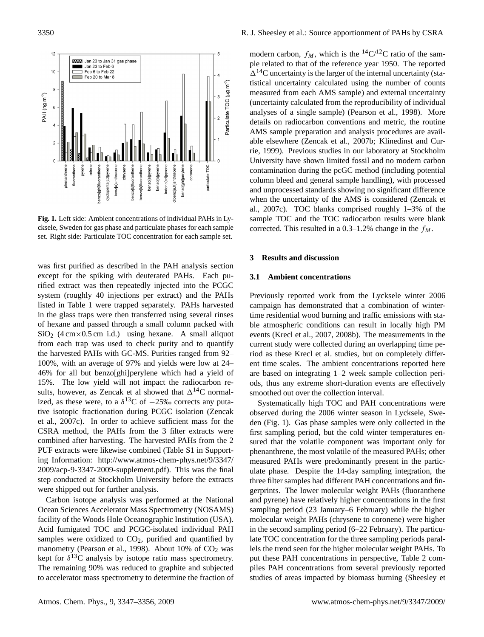

**Fig. 1.** Left side: Ambient concentrations of individual PAHs in Lycksele, Sweden for gas phase and particulate phases for each sample set. Right side: Particulate TOC concentration for each sample set.

was first purified as described in the PAH analysis section except for the spiking with deuterated PAHs. Each purified extract was then repeatedly injected into the PCGC system (roughly 40 injections per extract) and the PAHs listed in Table 1 were trapped separately. PAHs harvested in the glass traps were then transferred using several rinses of hexane and passed through a small column packed with  $SiO<sub>2</sub>$  (4 cm × 0.5 cm i.d.) using hexane. A small aliquot from each trap was used to check purity and to quantify the harvested PAHs with GC-MS. Purities ranged from 92– 100%, with an average of 97% and yields were low at 24– 46% for all but benzo[ghi]perylene which had a yield of 15%. The low yield will not impact the radiocarbon results, however, as Zencak et al showed that  $\Delta^{14}C$  normalized, as these were, to a  $\delta^{13}$ C of  $-25\%$  corrects any putative isotopic fractionation during PCGC isolation (Zencak et al., 2007c). In order to achieve sufficient mass for the CSRA method, the PAHs from the 3 filter extracts were combined after harvesting. The harvested PAHs from the 2 PUF extracts were likewise combined (Table S1 in Supporting Information: [http://www.atmos-chem-phys.net/9/3347/](http://www.atmos-chem-phys.net/9/3347/2009/acp-9-3347-2009-supplement.pdf) [2009/acp-9-3347-2009-supplement.pdf\)](http://www.atmos-chem-phys.net/9/3347/2009/acp-9-3347-2009-supplement.pdf). This was the final step conducted at Stockholm University before the extracts were shipped out for further analysis.

Carbon isotope analysis was performed at the National Ocean Sciences Accelerator Mass Spectrometry (NOSAMS) facility of the Woods Hole Oceanographic Institution (USA). Acid fumigated TOC and PCGC-isolated individual PAH samples were oxidized to  $CO<sub>2</sub>$ , purified and quantified by manometry (Pearson et al., 1998). About 10% of  $CO<sub>2</sub>$  was kept for  $\delta^{13}$ C analysis by isotope ratio mass spectrometry. The remaining 90% was reduced to graphite and subjected to accelerator mass spectrometry to determine the fraction of modern carbon,  $f_M$ , which is the <sup>14</sup>C/<sup>12</sup>C ratio of the sample related to that of the reference year 1950. The reported  $\Delta^{14}$ C uncertainty is the larger of the internal uncertainty (statistical uncertainty calculated using the number of counts measured from each AMS sample) and external uncertainty (uncertainty calculated from the reproducibility of individual analyses of a single sample) (Pearson et al., 1998). More details on radiocarbon conventions and metric, the routine AMS sample preparation and analysis procedures are available elsewhere (Zencak et al., 2007b; Klinedinst and Currie, 1999). Previous studies in our laboratory at Stockholm University have shown limited fossil and no modern carbon contamination during the pcGC method (including potential column bleed and general sample handling), with processed and unprocessed standards showing no significant difference when the uncertainty of the AMS is considered (Zencak et al., 2007c). TOC blanks comprised roughly 1–3% of the sample TOC and the TOC radiocarbon results were blank corrected. This resulted in a 0.3–1.2% change in the  $f_M$ .

### **3 Results and discussion**

#### **3.1 Ambient concentrations**

Previously reported work from the Lycksele winter 2006 campaign has demonstrated that a combination of wintertime residential wood burning and traffic emissions with stable atmospheric conditions can result in locally high PM events (Krecl et al., 2007, 2008b). The measurements in the current study were collected during an overlapping time period as these Krecl et al. studies, but on completely different time scales. The ambient concentrations reported here are based on integrating 1–2 week sample collection periods, thus any extreme short-duration events are effectively smoothed out over the collection interval.

Systematically high TOC and PAH concentrations were observed during the 2006 winter season in Lycksele, Sweden (Fig. 1). Gas phase samples were only collected in the first sampling period, but the cold winter temperatures ensured that the volatile component was important only for phenanthrene, the most volatile of the measured PAHs; other measured PAHs were predominantly present in the particulate phase. Despite the 14-day sampling integration, the three filter samples had different PAH concentrations and fingerprints. The lower molecular weight PAHs (fluoranthene and pyrene) have relatively higher concentrations in the first sampling period (23 January–6 February) while the higher molecular weight PAHs (chrysene to coronene) were higher in the second sampling period (6–22 February). The particulate TOC concentration for the three sampling periods parallels the trend seen for the higher molecular weight PAHs. To put these PAH concentrations in perspective, Table 2 compiles PAH concentrations from several previously reported studies of areas impacted by biomass burning (Sheesley et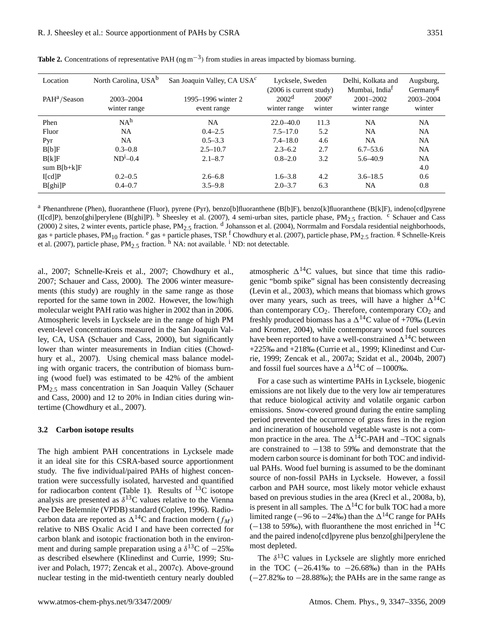| Location                 | North Carolina, USA <sup>b</sup> | San Joaquin Valley, CA USA $c$    | Lycksele, Sweden<br>$(2006$ is current study) |                             | Delhi. Kolkata and<br>Mumbai, India <sup>f</sup> | Augsburg,<br>Germany <sup>g</sup> |
|--------------------------|----------------------------------|-----------------------------------|-----------------------------------------------|-----------------------------|--------------------------------------------------|-----------------------------------|
| PAH <sup>a</sup> /Season | $2003 - 2004$<br>winter range    | 1995–1996 winter 2<br>event range | 2002 <sup>d</sup><br>winter range             | 2006 <sup>e</sup><br>winter | $2001 - 2002$<br>winter range                    | 2003-2004<br>winter               |
| Phen                     | NA <sup>h</sup>                  | NA                                | $22.0 - 40.0$                                 | 11.3                        | NA                                               | <b>NA</b>                         |
| Fluor                    | NA                               | $0.4 - 2.5$                       | $7.5 - 17.0$                                  | 5.2                         | NA                                               | <b>NA</b>                         |
| Pyr                      | NA                               | $0.5 - 3.3$                       | $7.4 - 18.0$                                  | 4.6                         | NA                                               | <b>NA</b>                         |
| B[b]F                    | $0.3 - 0.8$                      | $2.5 - 10.7$                      | $2.3 - 6.2$                                   | 2.7                         | $6.7 - 53.6$                                     | <b>NA</b>                         |
| B[k]F                    | $ND1-0.4$                        | $2.1 - 8.7$                       | $0.8 - 2.0$                                   | 3.2                         | $5.6 - 40.9$                                     | <b>NA</b>                         |
| sum $B[b+k]F$            |                                  |                                   |                                               |                             |                                                  | 4.0                               |
| I[cd]P                   | $0.2 - 0.5$                      | $2.6 - 6.8$                       | $1.6 - 3.8$                                   | 4.2                         | $3.6 - 18.5$                                     | 0.6                               |
| B[ghi]P                  | $0.4 - 0.7$                      | $3.5 - 9.8$                       | $2.0 - 3.7$                                   | 6.3                         | NA                                               | 0.8                               |

Table 2. Concentrations of representative PAH (ng m<sup>−3</sup>) from studies in areas impacted by biomass burning.

<sup>a</sup> Phenanthrene (Phen), fluoranthene (Fluor), pyrene (Pyr), benzo[b]fluoranthene (B[b]F), benzo[k]fluoranthene (B[k]F), indeno[cd]pyrene (I[cd]P), benzo[ghi]perylene (B[ghi]P). <sup>b</sup> Sheesley et al. (2007), 4 semi-urban sites, particle phase,  $PM_{2.5}$  fraction. <sup>c</sup> Schauer and Cass (2000) 2 sites, 2 winter events, particle phase,  $PM_{2.5}$  fraction. <sup>d</sup> Johansson et al. (2004), Norrmalm and Forsdala residential neighborhoods, gas + particle phases,  $PM_{10}$  fraction. <sup>e</sup> gas + particle phases, TSP. <sup>f</sup> Chowdhury et al. (2007), particle phase,  $PM_{2.5}$  fraction. <sup>g</sup> Schnelle-Kreis et al. (2007), particle phase, PM<sub>2.5</sub> fraction. <sup>h</sup> NA: not available. <sup>i</sup> ND: not detectable.

al., 2007; Schnelle-Kreis et al., 2007; Chowdhury et al., 2007; Schauer and Cass, 2000). The 2006 winter measurements (this study) are roughly in the same range as those reported for the same town in 2002. However, the low/high molecular weight PAH ratio was higher in 2002 than in 2006. Atmospheric levels in Lycksele are in the range of high PM event-level concentrations measured in the San Joaquin Valley, CA, USA (Schauer and Cass, 2000), but significantly lower than winter measurements in Indian cities (Chowdhury et al., 2007). Using chemical mass balance modeling with organic tracers, the contribution of biomass burning (wood fuel) was estimated to be 42% of the ambient PM2.<sup>5</sup> mass concentration in San Joaquin Valley (Schauer and Cass, 2000) and 12 to 20% in Indian cities during wintertime (Chowdhury et al., 2007).

#### **3.2 Carbon isotope results**

The high ambient PAH concentrations in Lycksele made it an ideal site for this CSRA-based source apportionment study. The five individual/paired PAHs of highest concentration were successfully isolated, harvested and quantified for radiocarbon content (Table 1). Results of  $^{13}$ C isotope analysis are presented as  $\delta^{13}$ C values relative to the Vienna Pee Dee Belemnite (VPDB) standard (Coplen, 1996). Radiocarbon data are reported as  $\Delta^{14}$ C and fraction modern  $(f_M)$ relative to NBS Oxalic Acid I and have been corrected for carbon blank and isotopic fractionation both in the environment and during sample preparation using a  $\delta^{13}$ C of  $-25\%$ as described elsewhere (Klinedinst and Currie, 1999; Stuiver and Polach, 1977; Zencak et al., 2007c). Above-ground nuclear testing in the mid-twentieth century nearly doubled atmospheric  $\Delta^{14}$ C values, but since that time this radiogenic "bomb spike" signal has been consistently decreasing (Levin et al., 2003), which means that biomass which grows over many years, such as trees, will have a higher  $\Delta^{14}C$ than contemporary  $CO<sub>2</sub>$ . Therefore, contemporary  $CO<sub>2</sub>$  and freshly produced biomass has a  $\Delta^{14}$ C value of +70‰ (Levin and Kromer, 2004), while contemporary wood fuel sources have been reported to have a well-constrained  $\Delta^{14}$ C between +225‰ and +218‰ (Currie et al., 1999; Klinedinst and Currie, 1999; Zencak et al., 2007a; Szidat et al., 2004b, 2007) and fossil fuel sources have a  $\Delta^{14}$ C of  $-1000\%$ .

For a case such as wintertime PAHs in Lycksele, biogenic emissions are not likely due to the very low air temperatures that reduce biological activity and volatile organic carbon emissions. Snow-covered ground during the entire sampling period prevented the occurrence of grass fires in the region and incineration of household vegetable waste is not a common practice in the area. The  $\Delta^{14}$ C-PAH and –TOC signals are constrained to −138 to 59‰ and demonstrate that the modern carbon source is dominant for both TOC and individual PAHs. Wood fuel burning is assumed to be the dominant source of non-fossil PAHs in Lycksele. However, a fossil carbon and PAH source, most likely motor vehicle exhaust based on previous studies in the area (Krecl et al., 2008a, b), is present in all samples. The  $\Delta^{14}$ C for bulk TOC had a more limited range ( $-96$  to  $-24$ ‰) than the  $\Delta^{14}$ C range for PAHs  $(-138 \text{ to } 59\%)$ , with fluoranthene the most enriched in <sup>14</sup>C and the paired indeno[cd]pyrene plus benzo[ghi]perylene the most depleted.

The  $\delta^{13}$ C values in Lycksele are slightly more enriched in the TOC  $(-26.41\% \text{ to } -26.68\%)$  than in the PAHs (−27.82‰ to −28.88‰); the PAHs are in the same range as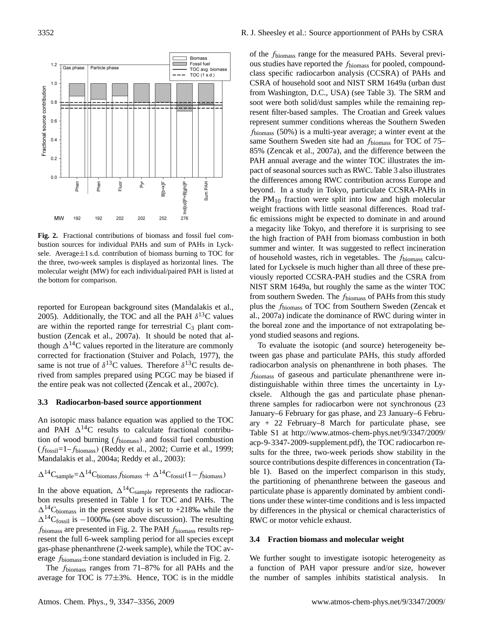

**Fig. 2.** Fractional contributions of biomass and fossil fuel combustion sources for individual PAHs and sum of PAHs in Lycksele. Average±1 s.d. contribution of biomass burning to TOC for the three, two-week samples is displayed as horizontal lines. The molecular weight (MW) for each individual/paired PAH is listed at the bottom for comparison.

reported for European background sites (Mandalakis et al., 2005). Additionally, the TOC and all the PAH  $\delta^{13}$ C values are within the reported range for terrestrial  $C_3$  plant combustion (Zencak et al., 2007a). It should be noted that although  $\Delta^{14}$ C values reported in the literature are commonly corrected for fractionation (Stuiver and Polach, 1977), the same is not true of  $\delta^{13}$ C values. Therefore  $\delta^{13}$ C results derived from samples prepared using PCGC may be biased if the entire peak was not collected (Zencak et al., 2007c).

### **3.3 Radiocarbon-based source apportionment**

An isotopic mass balance equation was applied to the TOC and PAH  $\Delta^{14}C$  results to calculate fractional contribution of wood burning  $(f_{\text{biomass}})$  and fossil fuel combustion (ffossil=1–fbiomass) (Reddy et al., 2002; Currie et al., 1999; Mandalakis et al., 2004a; Reddy et al., 2003):

$$
\Delta^{14}C_{sample} = \Delta^{14}C_{biomass} f_{biomass} + \Delta^{14}C_{fossil}(1 - f_{biomass})
$$

In the above equation,  $\Delta^{14}C_{\text{sample}}$  represents the radiocarbon results presented in Table 1 for TOC and PAHs. The  $\Delta^{14}$ C<sub>biomass</sub> in the present study is set to +218‰ while the  $\Delta^{14}$ C<sub>fossil</sub> is −1000‰ (see above discussion). The resulting  $f_{\text{biomass}}$  are presented in Fig. 2. The PAH  $f_{\text{biomass}}$  results represent the full 6-week sampling period for all species except gas-phase phenanthrene (2-week sample), while the TOC average  $f_{\text{biomass}}$  ±one standard deviation is included in Fig. 2.

The fbiomass ranges from 71–87% for all PAHs and the average for TOC is 77±3%. Hence, TOC is in the middle of the fbiomass range for the measured PAHs. Several previous studies have reported the  $f_{\text{biomass}}$  for pooled, compoundclass specific radiocarbon analysis (CCSRA) of PAHs and CSRA of household soot and NIST SRM 1649a (urban dust from Washington, D.C., USA) (see Table 3). The SRM and soot were both solid/dust samples while the remaining represent filter-based samples. The Croatian and Greek values represent summer conditions whereas the Southern Sweden fbiomass (50%) is a multi-year average; a winter event at the same Southern Sweden site had an  $f_{\text{biomass}}$  for TOC of 75– 85% (Zencak et al., 2007a), and the difference between the PAH annual average and the winter TOC illustrates the impact of seasonal sources such as RWC. Table 3 also illustrates the differences among RWC contribution across Europe and beyond. In a study in Tokyo, particulate CCSRA-PAHs in the  $PM_{10}$  fraction were split into low and high molecular weight fractions with little seasonal differences. Road traffic emissions might be expected to dominate in and around a megacity like Tokyo, and therefore it is surprising to see the high fraction of PAH from biomass combustion in both summer and winter. It was suggested to reflect incineration of household wastes, rich in vegetables. The  $f_{\text{biomass}}$  calculated for Lycksele is much higher than all three of these previously reported CCSRA-PAH studies and the CSRA from NIST SRM 1649a, but roughly the same as the winter TOC from southern Sweden. The  $f_{\text{biomass}}$  of PAHs from this study plus the fbiomass of TOC from Southern Sweden (Zencak et al., 2007a) indicate the dominance of RWC during winter in the boreal zone and the importance of not extrapolating beyond studied seasons and regions.

To evaluate the isotopic (and source) heterogeneity between gas phase and particulate PAHs, this study afforded radiocarbon analysis on phenanthrene in both phases. The fbiomass of gaseous and particulate phenanthrene were indistinguishable within three times the uncertainty in Lycksele. Although the gas and particulate phase phenanthrene samples for radiocarbon were not synchronous (23 January–6 February for gas phase, and 23 January–6 February + 22 February–8 March for particulate phase, see Table S1 at [http://www.atmos-chem-phys.net/9/3347/2009/](http://www.atmos-chem-phys.net/9/3347/2009/acp-9-3347-2009-supplement.pdf) [acp-9-3347-2009-supplement.pdf\)](http://www.atmos-chem-phys.net/9/3347/2009/acp-9-3347-2009-supplement.pdf), the TOC radiocarbon results for the three, two-week periods show stability in the source contributions despite differences in concentration (Table 1). Based on the imperfect comparison in this study, the partitioning of phenanthrene between the gaseous and particulate phase is apparently dominated by ambient conditions under these winter-time conditions and is less impacted by differences in the physical or chemical characteristics of RWC or motor vehicle exhaust.

#### **3.4 Fraction biomass and molecular weight**

We further sought to investigate isotopic heterogeneity as a function of PAH vapor pressure and/or size, however the number of samples inhibits statistical analysis. In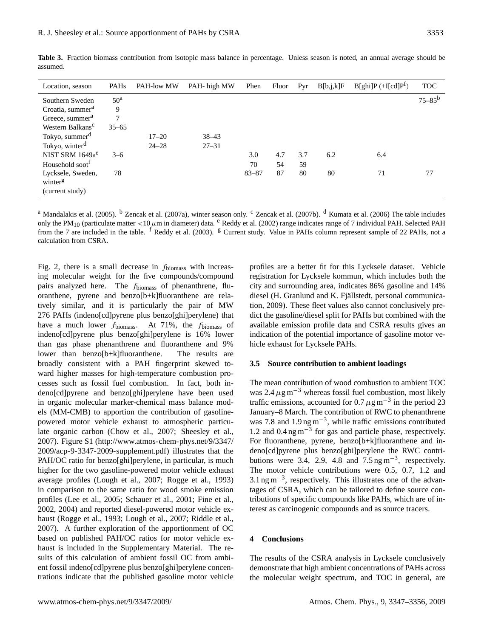| Location, season             | PAH <sub>s</sub> | PAH-low MW | PAH- high MW | Phen      | Fluor | Pyr | B[b,j,k]F | $B[ghi]P (+I[cd]Pf)$ | <b>TOC</b>  |
|------------------------------|------------------|------------|--------------|-----------|-------|-----|-----------|----------------------|-------------|
| Southern Sweden              | 50 <sup>a</sup>  |            |              |           |       |     |           |                      | $75 - 85^b$ |
| Croatia, summer <sup>a</sup> | 9                |            |              |           |       |     |           |                      |             |
| Greece, summer <sup>a</sup>  | 7                |            |              |           |       |     |           |                      |             |
| Western Balkans <sup>c</sup> | $35 - 65$        |            |              |           |       |     |           |                      |             |
| Tokyo, summer <sup>d</sup>   |                  | $17 - 20$  | $38 - 43$    |           |       |     |           |                      |             |
| Tokyo, winter <sup>d</sup>   |                  | $24 - 28$  | $27 - 31$    |           |       |     |           |                      |             |
| NIST SRM 1649a <sup>e</sup>  | $3 - 6$          |            |              | 3.0       | 4.7   | 3.7 | 6.2       | 6.4                  |             |
| Household soot <sup>1</sup>  |                  |            |              | 70        | 54    | 59  |           |                      |             |
| Lycksele, Sweden,<br>winterg | 78               |            |              | $83 - 87$ | 87    | 80  | 80        | 71                   | 77          |
| (current study)              |                  |            |              |           |       |     |           |                      |             |

**Table 3.** Fraction biomass contribution from isotopic mass balance in percentage. Unless season is noted, an annual average should be assumed.

<sup>a</sup> Mandalakis et al. (2005). <sup>b</sup> Zencak et al. (2007a), winter season only. <sup>c</sup> Zencak et al. (2007b). <sup>d</sup> Kumata et al. (2006) The table includes only the PM<sub>10</sub> (particulate matter <10  $\mu$ m in diameter) data. <sup>e</sup> Reddy et al. (2002) range indicates range of 7 individual PAH. Selected PAH from the 7 are included in the table.  $f$  Reddy et al. (2003). <sup>g</sup> Current study. Value in PAHs column represent sample of 22 PAHs, not a calculation from CSRA.

Fig. 2, there is a small decrease in  $f_{\text{biomass}}$  with increasing molecular weight for the five compounds/compound pairs analyzed here. The fbiomass of phenanthrene, fluoranthene, pyrene and benzo[b+k]fluoranthene are relatively similar, and it is particularly the pair of MW 276 PAHs (indeno[cd]pyrene plus benzo[ghi]perylene) that have a much lower  $f_{\text{biomass}}$ . At 71%, the  $f_{\text{biomass}}$  of indeno[cd]pyrene plus benzo[ghi]perylene is 16% lower than gas phase phenanthrene and fluoranthene and 9% lower than benzo[b+k]fluoranthene. The results are broadly consistent with a PAH fingerprint skewed toward higher masses for high-temperature combustion processes such as fossil fuel combustion. In fact, both indeno[cd]pyrene and benzo[ghi]perylene have been used in organic molecular marker-chemical mass balance models (MM-CMB) to apportion the contribution of gasolinepowered motor vehicle exhaust to atmospheric particulate organic carbon (Chow et al., 2007; Sheesley et al., 2007). Figure S1 [\(http://www.atmos-chem-phys.net/9/3347/](http://www.atmos-chem-phys.net/9/3347/2009/acp-9-3347-2009-supplement.pdf) [2009/acp-9-3347-2009-supplement.pdf\)](http://www.atmos-chem-phys.net/9/3347/2009/acp-9-3347-2009-supplement.pdf) illustrates that the PAH/OC ratio for benzo[ghi]perylene, in particular, is much higher for the two gasoline-powered motor vehicle exhaust average profiles (Lough et al., 2007; Rogge et al., 1993) in comparison to the same ratio for wood smoke emission profiles (Lee et al., 2005; Schauer et al., 2001; Fine et al., 2002, 2004) and reported diesel-powered motor vehicle exhaust (Rogge et al., 1993; Lough et al., 2007; Riddle et al., 2007). A further exploration of the apportionment of OC based on published PAH/OC ratios for motor vehicle exhaust is included in the Supplementary Material. The results of this calculation of ambient fossil OC from ambient fossil indeno[cd]pyrene plus benzo[ghi]perylene concentrations indicate that the published gasoline motor vehicle

profiles are a better fit for this Lycksele dataset. Vehicle registration for Lycksele kommun, which includes both the city and surrounding area, indicates 86% gasoline and 14% diesel (H. Granlund and K. Fjällstedt, personal communication, 2009). These fleet values also cannot conclusively predict the gasoline/diesel split for PAHs but combined with the available emission profile data and CSRA results gives an indication of the potential importance of gasoline motor vehicle exhaust for Lycksele PAHs.

### **3.5 Source contribution to ambient loadings**

The mean contribution of wood combustion to ambient TOC was 2.4  $\mu$ g m<sup>-3</sup> whereas fossil fuel combustion, most likely traffic emissions, accounted for 0.7  $\mu$ g m<sup>-3</sup> in the period 23 January–8 March. The contribution of RWC to phenanthrene was 7.8 and  $1.9 \text{ ng m}^{-3}$ , while traffic emissions contributed 1.2 and  $0.4 \text{ ng m}^{-3}$  for gas and particle phase, respectively. For fluoranthene, pyrene, benzo[b+k]fluoranthene and indeno[cd]pyrene plus benzo[ghi]perylene the RWC contributions were 3.4, 2.9, 4.8 and  $7.5 \text{ ng m}^{-3}$ , respectively. The motor vehicle contributions were 0.5, 0.7, 1.2 and 3.1 ng m<sup>-3</sup>, respectively. This illustrates one of the advantages of CSRA, which can be tailored to define source contributions of specific compounds like PAHs, which are of interest as carcinogenic compounds and as source tracers.

#### **4 Conclusions**

The results of the CSRA analysis in Lycksele conclusively demonstrate that high ambient concentrations of PAHs across the molecular weight spectrum, and TOC in general, are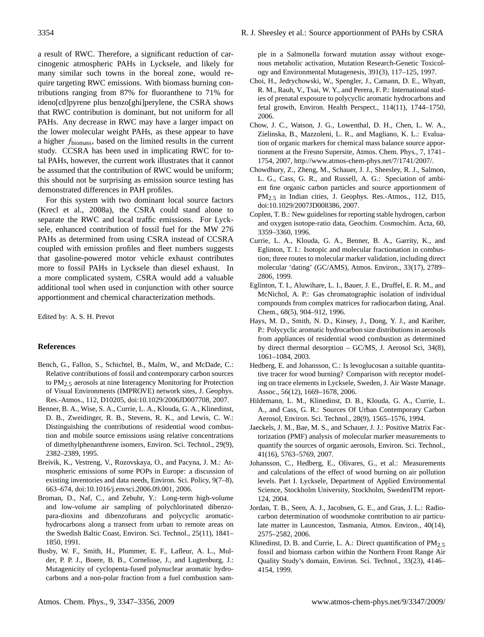a result of RWC. Therefore, a significant reduction of carcinogenic atmospheric PAHs in Lycksele, and likely for many similar such towns in the boreal zone, would require targeting RWC emissions. With biomass burning contributions ranging from 87% for fluoranthene to 71% for ideno[cd]pyrene plus benzo[ghi]perylene, the CSRA shows that RWC contribution is dominant, but not uniform for all PAHs. Any decrease in RWC may have a larger impact on the lower molecular weight PAHs, as these appear to have a higher fbiomass, based on the limited results in the current study. CCSRA has been used in implicating RWC for total PAHs, however, the current work illustrates that it cannot be assumed that the contribution of RWC would be uniform; this should not be surprising as emission source testing has demonstrated differences in PAH profiles.

For this system with two dominant local source factors (Krecl et al., 2008a), the CSRA could stand alone to separate the RWC and local traffic emissions. For Lycksele, enhanced contribution of fossil fuel for the MW 276 PAHs as determined from using CSRA instead of CCSRA coupled with emission profiles and fleet numbers suggests that gasoline-powered motor vehicle exhaust contributes more to fossil PAHs in Lycksele than diesel exhaust. In a more complicated system, CSRA would add a valuable additional tool when used in conjunction with other source apportionment and chemical characterization methods.

Edited by: A. S. H. Prevot

## **References**

- Bench, G., Fallon, S., Schichtel, B., Malm, W., and McDade, C.: Relative contributions of fossil and contemporary carbon sources to PM<sub>2.5</sub> aerosols at nine Interagency Monitoring for Protection of Visual Environments (IMPROVE) network sites, J. Geophys. Res.-Atmos., 112, D10205, doi:10.1029/2006JD007708, 2007.
- Benner, B. A., Wise, S. A., Currie, L. A., Klouda, G. A., Klinedinst, D. B., Zweidinger, R. B., Stevens, R. K., and Lewis, C. W.: Distinguishing the contributions of residential wood combustion and mobile source emissions using relative concentrations of dimethylphenanthrene isomers, Environ. Sci. Technol., 29(9), 2382–2389, 1995.
- Breivik, K., Vestreng, V., Rozovskaya, O., and Pacyna, J. M.: Atmospheric emissions of some POPs in Europe: a discussion of existing inventories and data needs, Environ. Sci. Policy, 9(7–8), 663–674, doi:10.1016/j.envsci.2006.09.001, 2006.
- Broman, D., Naf, C., and Zebuhr, Y.: Long-term high-volume and low-volume air sampling of polychlorinated dibenzopara-dioxins and dibenzofurans and polycyclic aromatichydrocarbons along a transect from urban to remote areas on the Swedish Baltic Coast, Environ. Sci. Technol., 25(11), 1841– 1850, 1991.
- Busby, W. F., Smith, H., Plummer, E. F., Lafleur, A. L., Mulder, P. P. J., Boere, B. B., Cornelisse, J., and Lugtenburg, J.: Mutagenicity of cyclopenta-fused polynuclear aromatic hydrocarbons and a non-polar fraction from a fuel combustion sam-

ple in a Salmonella forward mutation assay without exogenous metabolic activation, Mutation Research-Genetic Toxicology and Environmental Mutagenesis, 391(3), 117–125, 1997.

- Choi, H., Jedrychowski, W., Spengler, J., Camann, D. E., Whyatt, R. M., Rauh, V., Tsai, W. Y., and Perera, F. P.: International studies of prenatal exposure to polycyclic aromatic hydrocarbons and fetal growth, Environ. Health Perspect., 114(11), 1744–1750, 2006.
- Chow, J. C., Watson, J. G., Lowenthal, D. H., Chen, L. W. A., Zielinska, B., Mazzoleni, L. R., and Magliano, K. L.: Evaluation of organic markers for chemical mass balance source apportionment at the Fresno Supersite, Atmos. Chem. Phys., 7, 1741– 1754, 2007, [http://www.atmos-chem-phys.net/7/1741/2007/.](http://www.atmos-chem-phys.net/7/1741/2007/)
- Chowdhury, Z., Zheng, M., Schauer, J. J., Sheesley, R. J., Salmon, L. G., Cass, G. R., and Russell, A. G.: Speciation of ambient fine organic carbon particles and source apportionment of  $PM<sub>2</sub>$  in Indian cities, J. Geophys. Res.-Atmos., 112, D15, doi:10.1029/2007JD008386, 2007.
- Coplen, T. B.: New guidelines for reporting stable hydrogen, carbon and oxygen isotope-ratio data, Geochim. Cosmochim. Acta, 60, 3359–3360, 1996.
- Currie, L. A., Klouda, G. A., Benner, B. A., Garrity, K., and Eglinton, T. I.: Isotopic and molecular fractionation in combustion; three routes to molecular marker validation, including direct molecular 'dating' (GC/AMS), Atmos. Environ., 33(17), 2789– 2806, 1999.
- Eglinton, T. I., Aluwihare, L. I., Bauer, J. E., Druffel, E. R. M., and McNichol, A. P.: Gas chromatographic isolation of individual compounds from complex matrices for radiocarbon dating, Anal. Chem., 68(5), 904–912, 1996.
- Hays, M. D., Smith, N. D., Kinsey, J., Dong, Y. J., and Kariher, P.: Polycyclic aromatic hydrocarbon size distributions in aerosols from appliances of residential wood combustion as determined by direct thermal desorption – GC/MS, J. Aerosol Sci, 34(8), 1061–1084, 2003.
- Hedberg, E. and Johansson, C.: Is levoglucosan a suitable quantitative tracer for wood burning? Comparison with receptor modeling on trace elements in Lycksele, Sweden, J. Air Waste Manage. Assoc., 56(12), 1669–1678, 2006.
- Hildemann, L. M., Klinedinst, D. B., Klouda, G. A., Currie, L. A., and Cass, G. R.: Sources Of Urban Contemporary Carbon Aerosol, Environ. Sci. Technol., 28(9), 1565–1576, 1994.
- Jaeckels, J. M., Bae, M. S., and Schauer, J. J.: Positive Matrix Factorization (PMF) analysis of molecular marker measurements to quantify the sources of organic aerosols, Environ. Sci. Technol., 41(16), 5763–5769, 2007.
- Johansson, C., Hedberg, E., Olivares, G., et al.: Measurements and calculations of the effect of wood burning on air pollution levels. Part I. Lycksele, Department of Applied Environmental Science, Stockholm University, Stockholm, SwedenITM report-124, 2004.
- Jordan, T. B., Seen, A. J., Jacobsen, G. E., and Gras, J. L.: Radiocarbon determination of woodsmoke contribution to air particulate matter in Launceston, Tasmania, Atmos. Environ., 40(14), 2575–2582, 2006.
- Klinedinst, D. B. and Currie, L. A.: Direct quantification of  $PM<sub>2.5</sub>$ fossil and biomass carbon within the Northern Front Range Air Quality Study's domain, Environ. Sci. Technol., 33(23), 4146– 4154, 1999.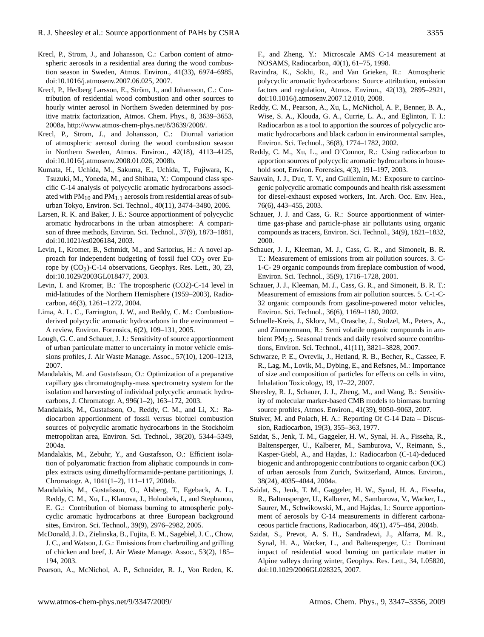- Krecl, P., Strom, J., and Johansson, C.: Carbon content of atmospheric aerosols in a residential area during the wood combustion season in Sweden, Atmos. Environ., 41(33), 6974–6985, doi:10.1016/j.atmosenv.2007.06.025, 2007.
- Krecl, P., Hedberg Larsson, E., Ström, J., and Johansson, C.: Contribution of residential wood combustion and other sources to hourly winter aerosol in Northern Sweden determined by positive matrix factorization, Atmos. Chem. Phys., 8, 3639–3653, 2008a, [http://www.atmos-chem-phys.net/8/3639/2008/.](http://www.atmos-chem-phys.net/8/3639/2008/)
- Krecl, P., Strom, J., and Johansson, C.: Diurnal variation of atmospheric aerosol during the wood combustion season in Northern Sweden, Atmos. Environ., 42(18), 4113–4125, doi:10.1016/j.atmosenv.2008.01.026, 2008b.
- Kumata, H., Uchida, M., Sakuma, E., Uchida, T., Fujiwara, K., Tsuzuki, M., Yoneda, M., and Shibata, Y.: Compound class specific C-14 analysis of polycyclic aromatic hydrocarbons associated with  $PM_{10}$  and  $PM_{1.1}$  aerosols from residential areas of suburban Tokyo, Environ. Sci. Technol., 40(11), 3474–3480, 2006.
- Larsen, R. K. and Baker, J. E.: Source apportionment of polycyclic aromatic hydrocarbons in the urban atmosphere: A comparison of three methods, Environ. Sci. Technol., 37(9), 1873–1881, doi:10.1021/es0206184, 2003.
- Levin, I., Kromer, B., Schmidt, M., and Sartorius, H.: A novel approach for independent budgeting of fossil fuel  $CO<sub>2</sub>$  over Europe by (CO2)-C-14 observations, Geophys. Res. Lett., 30, 23, doi:10.1029/2003GL018477, 2003.
- Levin, I. and Kromer, B.: The tropospheric (CO2)-C-14 level in mid-latitudes of the Northern Hemisphere (1959–2003), Radiocarbon, 46(3), 1261–1272, 2004.
- Lima, A. L. C., Farrington, J. W., and Reddy, C. M.: Combustionderived polycyclic aromatic hydrocarbons in the environment – A review, Environ. Forensics, 6(2), 109–131, 2005.
- Lough, G. C. and Schauer, J. J.: Sensitivity of source apportionment of urban particulate matter to uncertainty in motor vehicle emissions profiles, J. Air Waste Manage. Assoc., 57(10), 1200–1213, 2007.
- Mandalakis, M. and Gustafsson, O.: Optimization of a preparative capillary gas chromatography-mass spectrometry system for the isolation and harvesting of individual polycyclic aromatic hydrocarbons, J. Chromatogr. A, 996(1–2), 163–172, 2003.
- Mandalakis, M., Gustafsson, O., Reddy, C. M., and Li, X.: Radiocarbon apportionment of fossil versus biofuel combustion sources of polycyclic aromatic hydrocarbons in the Stockholm metropolitan area, Environ. Sci. Technol., 38(20), 5344–5349, 2004a.
- Mandalakis, M., Zebuhr, Y., and Gustafsson, O.: Efficient isolation of polyaromatic fraction from aliphatic compounds in complex extracts using dimethylformamide-pentane partitionings, J. Chromatogr. A, 1041(1–2), 111–117, 2004b.
- Mandalakis, M., Gustafsson, O., Alsberg, T., Egeback, A. L., Reddy, C. M., Xu, L., Klanova, J., Holoubek, I., and Stephanou, E. G.: Contribution of biomass burning to atmospheric polycyclic aromatic hydrocarbons at three European background sites, Environ. Sci. Technol., 39(9), 2976–2982, 2005.
- McDonald, J. D., Zielinska, B., Fujita, E. M., Sagebiel, J. C., Chow, J. C., and Watson, J. G.: Emissions from charbroiling and grilling of chicken and beef, J. Air Waste Manage. Assoc., 53(2), 185– 194, 2003.
- Pearson, A., McNichol, A. P., Schneider, R. J., Von Reden, K.

F., and Zheng, Y.: Microscale AMS C-14 measurement at NOSAMS, Radiocarbon, 40(1), 61–75, 1998.

- Ravindra, K., Sokhi, R., and Van Grieken, R.: Atmospheric polycyclic aromatic hydrocarbons: Source attribution, emission factors and regulation, Atmos. Environ., 42(13), 2895–2921, doi:10.1016/j.atmosenv.2007.12.010, 2008.
- Reddy, C. M., Pearson, A., Xu, L., McNichol, A. P., Benner, B. A., Wise, S. A., Klouda, G. A., Currie, L. A., and Eglinton, T. I.: Radiocarbon as a tool to apportion the sources of polycyclic aromatic hydrocarbons and black carbon in environmental samples, Environ. Sci. Technol., 36(8), 1774–1782, 2002.
- Reddy, C. M., Xu, L., and O'Connor, R.: Using radiocarbon to apportion sources of polycyclic aromatic hydrocarbons in household soot, Environ. Forensics, 4(3), 191–197, 2003.
- Sauvain, J. J., Duc, T. V., and Guillemin, M.: Exposure to carcinogenic polycyclic aromatic compounds and health risk assessment for diesel-exhaust exposed workers, Int. Arch. Occ. Env. Hea., 76(6), 443–455, 2003.
- Schauer, J. J. and Cass, G. R.: Source apportionment of wintertime gas-phase and particle-phase air pollutants using organic compounds as tracers, Environ. Sci. Technol., 34(9), 1821–1832, 2000.
- Schauer, J. J., Kleeman, M. J., Cass, G. R., and Simoneit, B. R. T.: Measurement of emissions from air pollution sources. 3. C-1-C- 29 organic compounds from fireplace combustion of wood, Environ. Sci. Technol., 35(9), 1716–1728, 2001.
- Schauer, J. J., Kleeman, M. J., Cass, G. R., and Simoneit, B. R. T.: Measurement of emissions from air pollution sources. 5. C-1-C-32 organic compounds from gasoline-powered motor vehicles, Environ. Sci. Technol., 36(6), 1169–1180, 2002.
- Schnelle-Kreis, J., Sklorz, M., Orasche, J., Stolzel, M., Peters, A., and Zimmermann, R.: Semi volatile organic compounds in ambient  $PM<sub>2.5</sub>$ . Seasonal trends and daily resolved source contributions, Environ. Sci. Technol., 41(11), 3821–3828, 2007.
- Schwarze, P. E., Ovrevik, J., Hetland, R. B., Becher, R., Cassee, F. R., Lag, M., Lovik, M., Dybing, E., and Refsnes, M.: Importance of size and composition of particles for effects on cells in vitro, Inhalation Toxicology, 19, 17–22, 2007.
- Sheesley, R. J., Schauer, J. J., Zheng, M., and Wang, B.: Sensitivity of molecular marker-based CMB models to biomass burning source profiles, Atmos. Environ., 41(39), 9050–9063, 2007.
- Stuiver, M. and Polach, H. A.: Reporting Of C-14 Data Discussion, Radiocarbon, 19(3), 355–363, 1977.
- Szidat, S., Jenk, T. M., Gaggeler, H. W., Synal, H. A., Fisseha, R., Baltensperger, U., Kalberer, M., Samburova, V., Reimann, S., Kasper-Giebl, A., and Hajdas, I.: Radiocarbon (C-14)-deduced biogenic and anthropogenic contributions to organic carbon (OC) of urban aerosols from Zurich, Switzerland, Atmos. Environ., 38(24), 4035–4044, 2004a.
- Szidat, S., Jenk, T. M., Gaggeler, H. W., Synal, H. A., Fisseha, R., Baltensperger, U., Kalberer, M., Samburova, V., Wacker, L., Saurer, M., Schwikowski, M., and Hajdas, I.: Source apportionment of aerosols by C-14 measurements in different carbonaceous particle fractions, Radiocarbon, 46(1), 475–484, 2004b.
- Szidat, S., Prevot, A. S. H., Sandradewi, J., Alfarra, M. R., Synal, H. A., Wacker, L., and Baltensperger, U.: Dominant impact of residential wood burning on particulate matter in Alpine valleys during winter, Geophys. Res. Lett., 34, L05820, doi:10.1029/2006GL028325, 2007.